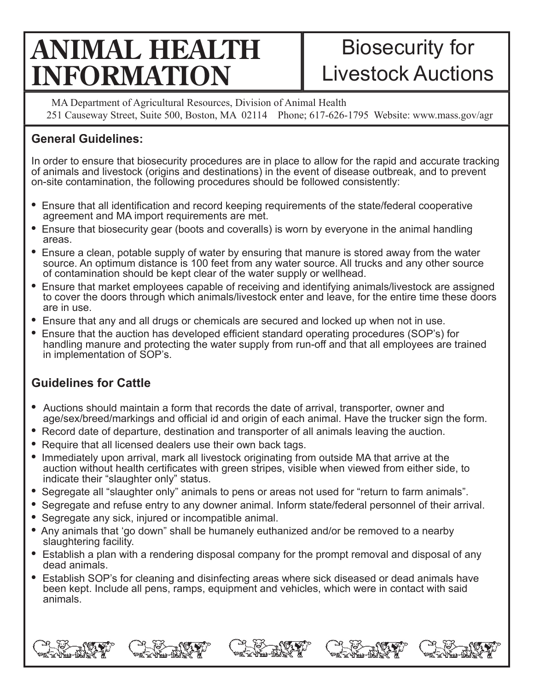# **ANIMAL HEALTH INFORMATION**

# Biosecurity for Livestock Auctions

MA Department of Agricultural Resources, Division of Animal Health 251 Causeway Street, Suite 500, Boston, MA 02114 Phone; 617-626-1795 Website: www.mass.gov/agr

### **General Guidelines:**

In order to ensure that biosecurity procedures are in place to allow for the rapid and accurate tracking of animals and livestock (origins and destinations) in the event of disease outbreak, and to prevent on-site contamination, the following procedures should be followed consistently:

- Ensure that all identification and record keeping requirements of the state/federal cooperative agreement and MA import requirements are met.
- **•** Ensure that biosecurity gear (boots and coveralls) is worn by everyone in the animal handling areas.
- **•** Ensure a clean, potable supply of water by ensuring that manure is stored away from the water source. An optimum distance is 100 feet from any water source. All trucks and any other source of contamination should be kept clear of the water supply or wellhead.
- **•** Ensure that market employees capable of receiving and identifying animals/livestock are assigned to cover the doors through which animals/livestock enter and leave, for the entire time these doors are in use.
- **•** Ensure that any and all drugs or chemicals are secured and locked up when not in use.
- Ensure that the auction has developed efficient standard operating procedures (SOP's) for handling manure and protecting the water supply from run-off and that all employees are trained in implementation of SOP's.

# **Guidelines for Cattle**

- Auctions should maintain a form that records the date of arrival, transporter, owner and age/sex/breed/markings and official id and origin of each animal. Have the trucker sign the form.
- **•** Record date of departure, destination and transporter of all animals leaving the auction.
- **•** Require that all licensed dealers use their own back tags.
- **•** Immediately upon arrival, mark all livestock originating from outside MA that arrive at the auction without health certificates with green stripes, visible when viewed from either side, to indicate their "slaughter only" status.
- **•** Segregate all "slaughter only" animals to pens or areas not used for "return to farm animals".
- **•** Segregate and refuse entry to any downer animal. Inform state/federal personnel of their arrival.
- **•** Segregate any sick, injured or incompatible animal.
- **•** Any animals that 'go down" shall be humanely euthanized and/or be removed to a nearby slaughtering facility.
- Establish a plan with a rendering disposal company for the prompt removal and disposal of any dead animals.
- Establish SOP's for cleaning and disinfecting areas where sick diseased or dead animals have been kept. Include all pens, ramps, equipment and vehicles, which were in contact with said animals.